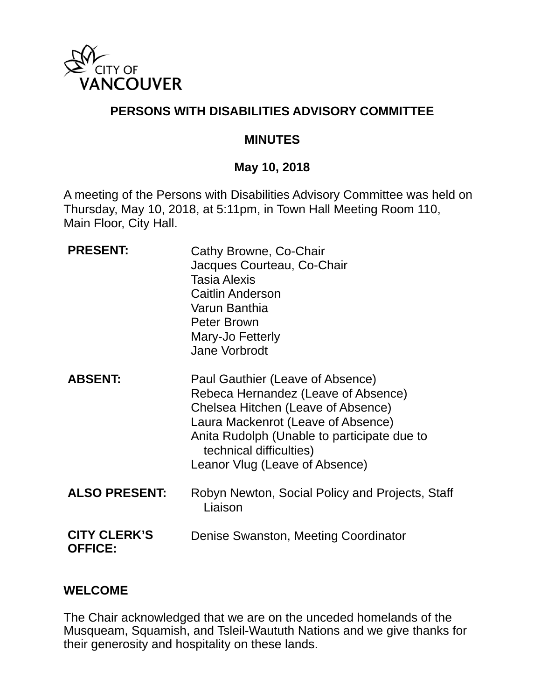

### **PERSONS WITH DISABILITIES ADVISORY COMMITTEE**

#### **MINUTES**

#### **May 10, 2018**

A meeting of the Persons with Disabilities Advisory Committee was held on Thursday, May 10, 2018, at 5:11pm, in Town Hall Meeting Room 110, Main Floor, City Hall.

| <b>PRESENT:</b>                       | Cathy Browne, Co-Chair<br>Jacques Courteau, Co-Chair<br><b>Tasia Alexis</b><br><b>Caitlin Anderson</b><br>Varun Banthia<br>Peter Brown<br>Mary-Jo Fetterly<br>Jane Vorbrodt                                                                                     |
|---------------------------------------|-----------------------------------------------------------------------------------------------------------------------------------------------------------------------------------------------------------------------------------------------------------------|
| <b>ABSENT:</b>                        | Paul Gauthier (Leave of Absence)<br>Rebeca Hernandez (Leave of Absence)<br>Chelsea Hitchen (Leave of Absence)<br>Laura Mackenrot (Leave of Absence)<br>Anita Rudolph (Unable to participate due to<br>technical difficulties)<br>Leanor Vlug (Leave of Absence) |
| <b>ALSO PRESENT:</b>                  | Robyn Newton, Social Policy and Projects, Staff<br>Liaison                                                                                                                                                                                                      |
| <b>CITY CLERK'S</b><br><b>OFFICE:</b> | Denise Swanston, Meeting Coordinator                                                                                                                                                                                                                            |

#### **WELCOME**

The Chair acknowledged that we are on the unceded homelands of the Musqueam, Squamish, and Tsleil-Waututh Nations and we give thanks for their generosity and hospitality on these lands.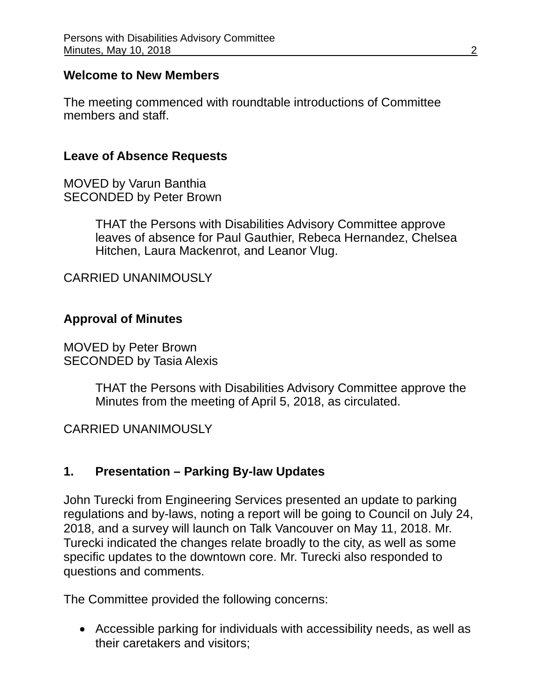#### **Welcome to New Members**

The meeting commenced with roundtable introductions of Committee members and staff.

#### **Leave of Absence Requests**

MOVED by Varun Banthia SECONDED by Peter Brown

> THAT the Persons with Disabilities Advisory Committee approve leaves of absence for Paul Gauthier, Rebeca Hernandez, Chelsea Hitchen, Laura Mackenrot, and Leanor Vlug.

CARRIED UNANIMOUSLY

#### **Approval of Minutes**

MOVED by Peter Brown SECONDED by Tasia Alexis

> THAT the Persons with Disabilities Advisory Committee approve the Minutes from the meeting of April 5, 2018, as circulated.

#### CARRIED UNANIMOUSLY

#### **1. Presentation – Parking By-law Updates**

John Turecki from Engineering Services presented an update to parking regulations and by-laws, noting a report will be going to Council on July 24, 2018, and a survey will launch on Talk Vancouver on May 11, 2018. Mr. Turecki indicated the changes relate broadly to the city, as well as some specific updates to the downtown core. Mr. Turecki also responded to questions and comments.

The Committee provided the following concerns:

 Accessible parking for individuals with accessibility needs, as well as their caretakers and visitors;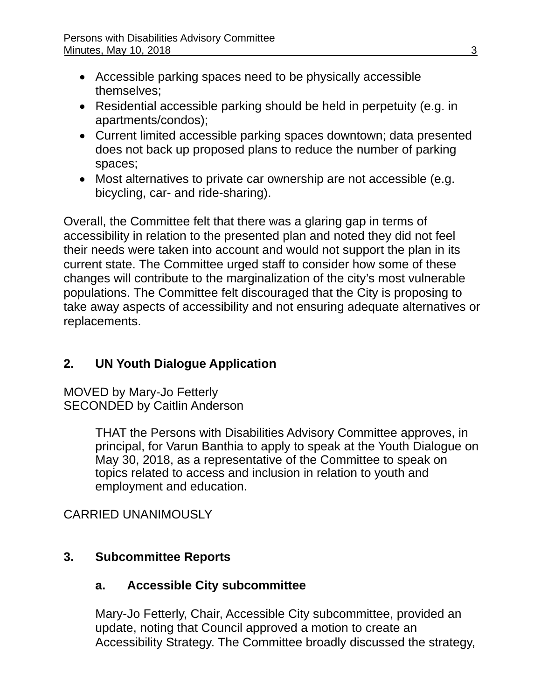- Accessible parking spaces need to be physically accessible themselves;
- Residential accessible parking should be held in perpetuity (e.g. in apartments/condos);
- Current limited accessible parking spaces downtown; data presented does not back up proposed plans to reduce the number of parking spaces;
- Most alternatives to private car ownership are not accessible (e.g. bicycling, car- and ride-sharing).

Overall, the Committee felt that there was a glaring gap in terms of accessibility in relation to the presented plan and noted they did not feel their needs were taken into account and would not support the plan in its current state. The Committee urged staff to consider how some of these changes will contribute to the marginalization of the city's most vulnerable populations. The Committee felt discouraged that the City is proposing to take away aspects of accessibility and not ensuring adequate alternatives or replacements.

# **2. UN Youth Dialogue Application**

MOVED by Mary-Jo Fetterly SECONDED by Caitlin Anderson

> THAT the Persons with Disabilities Advisory Committee approves, in principal, for Varun Banthia to apply to speak at the Youth Dialogue on May 30, 2018, as a representative of the Committee to speak on topics related to access and inclusion in relation to youth and employment and education.

# CARRIED UNANIMOUSLY

## **3. Subcommittee Reports**

## **a. Accessible City subcommittee**

Mary-Jo Fetterly, Chair, Accessible City subcommittee, provided an update, noting that Council approved a motion to create an Accessibility Strategy. The Committee broadly discussed the strategy,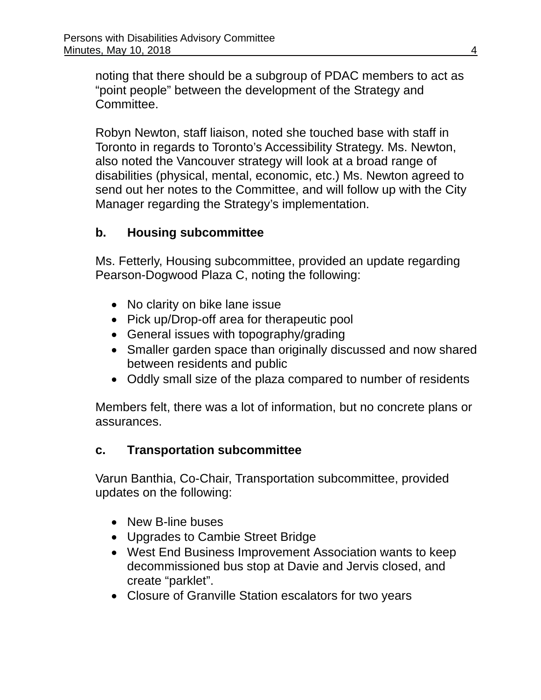noting that there should be a subgroup of PDAC members to act as "point people" between the development of the Strategy and Committee.

Robyn Newton, staff liaison, noted she touched base with staff in Toronto in regards to Toronto's Accessibility Strategy. Ms. Newton, also noted the Vancouver strategy will look at a broad range of disabilities (physical, mental, economic, etc.) Ms. Newton agreed to send out her notes to the Committee, and will follow up with the City Manager regarding the Strategy's implementation.

## **b. Housing subcommittee**

Ms. Fetterly, Housing subcommittee, provided an update regarding Pearson-Dogwood Plaza C, noting the following:

- No clarity on bike lane issue
- Pick up/Drop-off area for therapeutic pool
- General issues with topography/grading
- Smaller garden space than originally discussed and now shared between residents and public
- Oddly small size of the plaza compared to number of residents

Members felt, there was a lot of information, but no concrete plans or assurances.

## **c. Transportation subcommittee**

Varun Banthia, Co-Chair, Transportation subcommittee, provided updates on the following:

- New B-line buses
- Upgrades to Cambie Street Bridge
- West End Business Improvement Association wants to keep decommissioned bus stop at Davie and Jervis closed, and create "parklet".
- Closure of Granville Station escalators for two years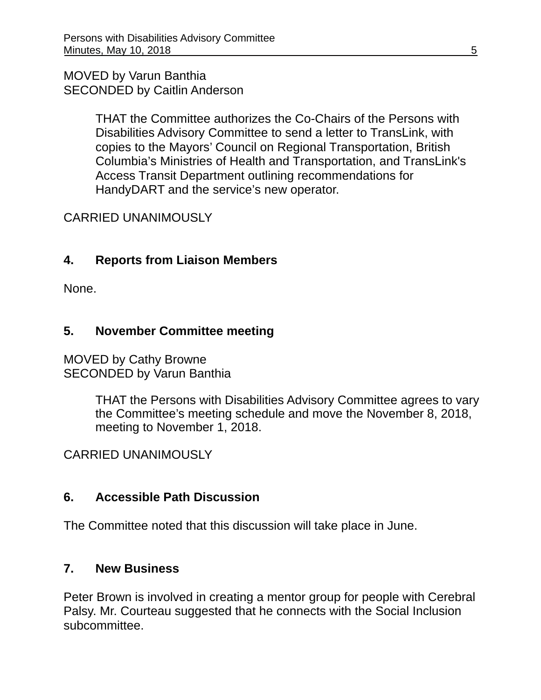#### MOVED by Varun Banthia SECONDED by Caitlin Anderson

THAT the Committee authorizes the Co-Chairs of the Persons with Disabilities Advisory Committee to send a letter to TransLink, with copies to the Mayors' Council on Regional Transportation, British Columbia's Ministries of Health and Transportation, and TransLink's Access Transit Department outlining recommendations for HandyDART and the service's new operator.

# CARRIED UNANIMOUSLY

# **4. Reports from Liaison Members**

None.

# **5. November Committee meeting**

MOVED by Cathy Browne SECONDED by Varun Banthia

> THAT the Persons with Disabilities Advisory Committee agrees to vary the Committee's meeting schedule and move the November 8, 2018, meeting to November 1, 2018.

## CARRIED UNANIMOUSLY

## **6. Accessible Path Discussion**

The Committee noted that this discussion will take place in June.

## **7. New Business**

Peter Brown is involved in creating a mentor group for people with Cerebral Palsy. Mr. Courteau suggested that he connects with the Social Inclusion subcommittee.